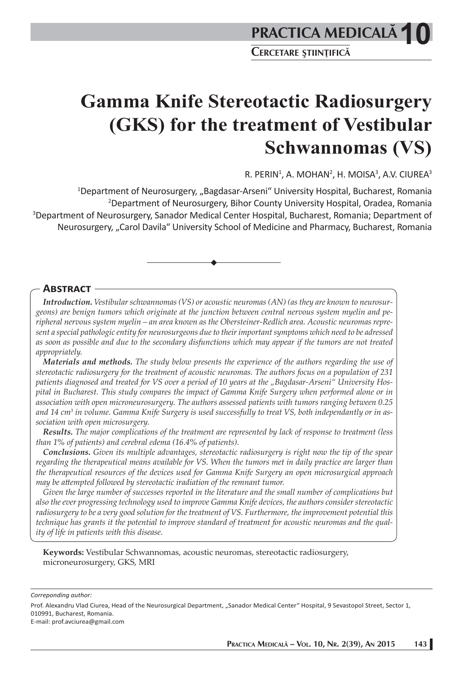**Gamma Knife Stereotactic Radiosurgery (GKS) for the treatment of Vestibular Schwannomas (VS)** 

R. PERIN $^1$ , A. MOHAN $^2$ , H. MOISA $^3$ , A.V. CIUREA $^3$ 

<sup>1</sup>Department of Neurosurgery, "Bagdasar-Arseni" University Hospital, Bucharest, Romania 2 Department of Neurosurgery, Bihor County University Hospital, Oradea, Romania 3 Department of Neurosurgery, Sanador Medical Center Hospital, Bucharest, Romania; Department of Neurosurgery, "Carol Davila" University School of Medicine and Pharmacy, Bucharest, Romania

# **ABSTRACT**

*Introduction. Vestibular schwannomas (VS) or acoustic neuromas (AN) (as they are known to neurosurgeons) are benign tumors which originate at the junction between central nervous system myelin and peripheral nervous system myelin – an area known as the Obersteiner-Redlich area. Acoustic neuromas represent a special pathologic entity for neurosurgeons due to their important symptoms which need to be adressed as soon as possible and due to the secondary disfunctions which may appear if the tumors are not treated appropriately.* 

*Materials and methods. The study below presents the experience of the authors regarding the use of stereotactic radiosurgery for the treatment of acoustic neuromas. The authors focus on a population of 231 patients diagnosed and treated for VS over a period of 10 years at the "Bagdasar-Arseni" University Hospital in Bucharest. This study compares the impact of Gamma Knife Surgery when performed alone or in association with open microneurosurgery. The authors assessed patients with tumors ranging between 0.25 and 14 cm3 in volume. Gamma Knife Surgery is used successfully to treat VS, both independantly or in association with open microsurgery.*

*Results. The major complications of the treatment are represented by lack of response to treatment (less than 1% of patients) and cerebral edema (16.4% of patients).* 

*Conclusions. Given its multiple advantages, stereotactic radiosurgery is right now the tip of the spear regarding the therapeutical means available for VS. When the tumors met in daily practice are larger than the therapeutical resources of the devices used for Gamma Knife Surgery an open microsurgical approach may be attempted followed by stereotactic iradiation of the remnant tumor.* 

*Given the large number of successes reported in the literature and the small number of complications but also the ever progressing technology used to improve Gamma Knife devices, the authors consider stereotactic radiosurgery to be a very good solution for the treatment of VS. Furthermore, the improvement potential this technique has grants it the potential to improve standard of treatment for acoustic neuromas and the quality of life in patients with this disease.* 

**Keywords:** Vestibular Schwannomas, acoustic neuromas, stereotactic radiosurgery, microneurosurgery, GKS, MRI

*Correponding author:*

Prof. Alexandru Vlad Ciurea, Head of the Neurosurgical Department, "Sanador Medical Center" Hospital, 9 Sevastopol Street, Sector 1, 010991, Bucharest, Romania. E-mail: prof.avciurea@gmail.com

**PRACTICA MEDICALÅ – VOL. 10, NR. 2(39), AN 2015 143**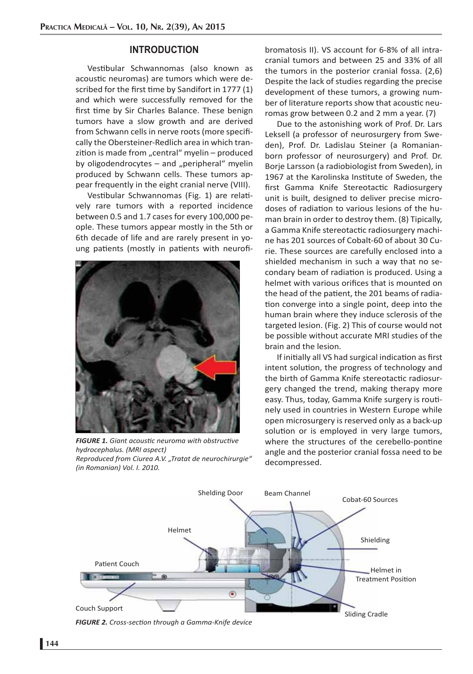#### **INTRODUCTION**

Vestibular Schwannomas (also known as acoustic neuromas) are tumors which were described for the first time by Sandifort in 1777 (1) and which were successfully removed for the first time by Sir Charles Balance. These benign tumors have a slow growth and are derived from Schwann cells in nerve roots (more specifically the Obersteiner-Redlich area in which tranzition is made from "central" myelin  $-$  produced by oligodendrocytes  $-$  and "peripheral" myelin produced by Schwann cells. These tumors appear frequently in the eight cranial nerve (VIII).

Vestibular Schwannomas (Fig. 1) are relatively rare tumors with a reported incidence between 0.5 and 1.7 cases for every 100,000 people. These tumors appear mostly in the 5th or 6th decade of life and are rarely present in young patients (mostly in patients with neurofi-



*FIGURE 1. Giant acousti c neuroma with obstructi ve hydrocephalus. (MRI aspect) Reproduced from Ciurea A.V. "Tratat de neurochirurgie" (in Romanian) Vol. I. 2010.*

bromatosis II). VS account for 6-8% of all intracranial tumors and between 25 and 33% of all the tumors in the posterior cranial fossa. (2,6) Despite the lack of studies regarding the precise development of these tumors, a growing number of literature reports show that acoustic neuromas grow between 0.2 and 2 mm a year. (7)

Due to the astonishing work of Prof. Dr. Lars Leksell (a professor of neurosurgery from Sweden), Prof. Dr. Ladislau Steiner (a Romanianborn professor of neurosurgery) and Prof. Dr. Borje Larsson (a radiobiologist from Sweden), in 1967 at the Karolinska Institute of Sweden, the first Gamma Knife Stereotactic Radiosurgery unit is built, designed to deliver precise microdoses of radiation to various lesions of the human brain in order to destroy them. (8) Tipically, a Gamma Knife stereotactic radiosurgery machine has 201 sources of Cobalt-60 of about 30 Curie. These sources are carefully enclosed into a shielded mechanism in such a way that no secondary beam of radiation is produced. Using a helmet with various orifices that is mounted on the head of the patient, the 201 beams of radiation converge into a single point, deep into the human brain where they induce sclerosis of the targeted lesion. (Fig. 2) This of course would not be possible without accurate MRI studies of the brain and the lesion.

If initially all VS had surgical indication as first intent solution, the progress of technology and the birth of Gamma Knife stereotactic radiosurgery changed the trend, making therapy more easy. Thus, today, Gamma Knife surgery is routinely used in countries in Western Europe while open microsurgery is reserved only as a back-up solution or is employed in very large tumors, where the structures of the cerebello-pontine angle and the posterior cranial fossa need to be decompressed.



*FIGURE 2. Cross-secti on through a Gamma-Knife device*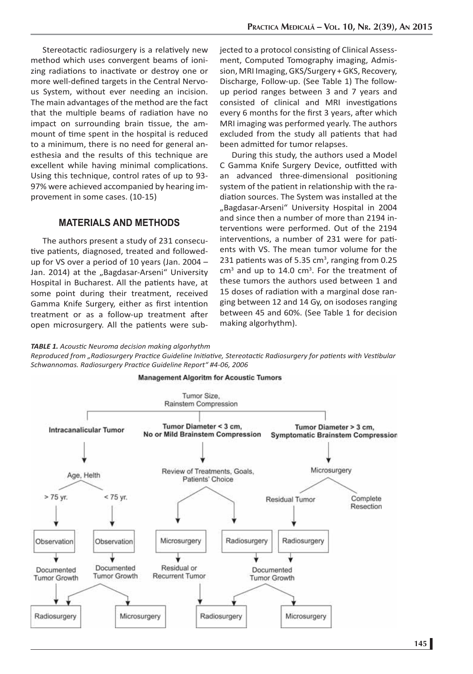Stereotactic radiosurgery is a relatively new method which uses convergent beams of ionizing radiations to inactivate or destroy one or more well-defined targets in the Central Nervous System, without ever needing an incision. The main advantages of the method are the fact that the multiple beams of radiation have no impact on surrounding brain tissue, the ammount of time spent in the hospital is reduced to a minimum, there is no need for general anesthesia and the results of this technique are excellent while having minimal complications. Using this technique, control rates of up to 93- 97% were achieved accompanied by hearing improvement in some cases. (10-15)

### **MATERIALS AND METHODS**

The authors present a study of 231 consecutive patients, diagnosed, treated and followedup for VS over a period of 10 years (Jan. 2004 – Jan. 2014) at the "Bagdasar-Arseni" University Hospital in Bucharest. All the patients have, at some point during their treatment, received Gamma Knife Surgery, either as first intention treatment or as a follow-up treatment after open microsurgery. All the patients were subjected to a protocol consisting of Clinical Assessment, Computed Tomography imaging, Admission, MRI Imaging, GKS/Surgery + GKS, Recovery, Discharge, Follow-up. (See Table 1) The followup period ranges between 3 and 7 years and consisted of clinical and MRI investigations every 6 months for the first 3 years, after which MRI imaging was performed yearly. The authors excluded from the study all patients that had been admitted for tumor relapses.

During this study, the authors used a Model C Gamma Knife Surgery Device, outfitted with an advanced three-dimensional positioning system of the patient in relationship with the radiation sources. The System was installed at the "Bagdasar-Arseni" University Hospital in 2004 and since then a number of more than 2194 interventions were performed. Out of the 2194 interventions, a number of 231 were for patients with VS. The mean tumor volume for the 231 patients was of 5.35  $cm<sup>3</sup>$ , ranging from 0.25  $cm<sup>3</sup>$  and up to 14.0  $cm<sup>3</sup>$ . For the treatment of these tumors the authors used between 1 and 15 doses of radiation with a marginal dose ranging between 12 and 14 Gy, on isodoses ranging between 45 and 60%. (See Table 1 for decision making algorhythm).

#### *TABLE 1. Acousti c Neuroma decision making algorhythm*

*Reproduced from "Radiosurgery Practi ce Guideline Initi ati ve, Stereotacti c Radiosurgery for pati ents with Vesti bular Schwannomas. Radiosurgery Practi ce Guideline Report" #4-06, 2006*

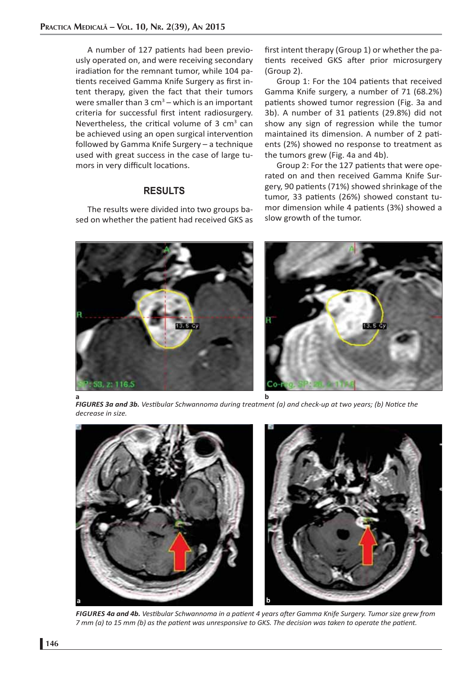A number of 127 patients had been previously operated on, and were receiving secondary iradiation for the remnant tumor, while 104 patients received Gamma Knife Surgery as first intent therapy, given the fact that their tumors were smaller than  $3 \text{ cm}^3$  – which is an important criteria for successful first intent radiosurgery. Nevertheless, the critical volume of 3  $\text{cm}^3$  can be achieved using an open surgical intervention followed by Gamma Knife Surgery – a technique used with great success in the case of large tumors in very difficult locations.

# **RESULTS**

The results were divided into two groups based on whether the patient had received GKS as first intent therapy (Group 1) or whether the patients received GKS after prior microsurgery (Group 2).

Group 1: For the 104 patients that received Gamma Knife surgery, a number of 71 (68.2%) patients showed tumor regression (Fig. 3a and 3b). A number of 31 patients (29.8%) did not show any sign of regression while the tumor maintained its dimension. A number of 2 patients (2%) showed no response to treatment as the tumors grew (Fig. 4a and 4b).

Group 2: For the 127 patients that were operated on and then received Gamma Knife Surgery, 90 patients (71%) showed shrinkage of the tumor, 33 patients (26%) showed constant tumor dimension while 4 patients (3%) showed a slow growth of the tumor.



*FIGURES 3a and 3b. Vestibular Schwannoma during treatment (a) and check-up at two years; (b) Notice the decrease in size.*



*FIGURES 4a and 4b. Vesti bular Schwannoma in a pati ent 4 years aft er Gamma Knife Surgery. Tumor size grew from 7 mm (a) to 15 mm (b) as the patient was unresponsive to GKS. The decision was taken to operate the patient.*